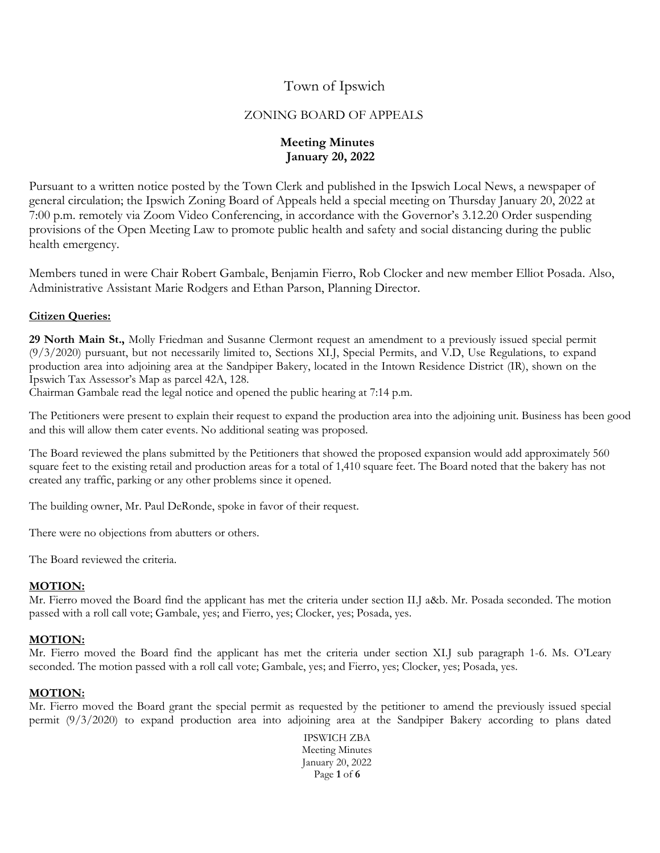# Town of Ipswich

## ZONING BOARD OF APPEALS

## **Meeting Minutes January 20, 2022**

Pursuant to a written notice posted by the Town Clerk and published in the Ipswich Local News, a newspaper of general circulation; the Ipswich Zoning Board of Appeals held a special meeting on Thursday January 20, 2022 at 7:00 p.m. remotely via Zoom Video Conferencing, in accordance with the Governor's 3.12.20 Order suspending provisions of the Open Meeting Law to promote public health and safety and social distancing during the public health emergency.

Members tuned in were Chair Robert Gambale, Benjamin Fierro, Rob Clocker and new member Elliot Posada. Also, Administrative Assistant Marie Rodgers and Ethan Parson, Planning Director.

## **Citizen Queries:**

**29 North Main St.,** Molly Friedman and Susanne Clermont request an amendment to a previously issued special permit (9/3/2020) pursuant, but not necessarily limited to, Sections XI.J, Special Permits, and V.D, Use Regulations, to expand production area into adjoining area at the Sandpiper Bakery, located in the Intown Residence District (IR), shown on the Ipswich Tax Assessor's Map as parcel 42A, 128.

Chairman Gambale read the legal notice and opened the public hearing at 7:14 p.m.

The Petitioners were present to explain their request to expand the production area into the adjoining unit. Business has been good and this will allow them cater events. No additional seating was proposed.

The Board reviewed the plans submitted by the Petitioners that showed the proposed expansion would add approximately 560 square feet to the existing retail and production areas for a total of 1,410 square feet. The Board noted that the bakery has not created any traffic, parking or any other problems since it opened.

The building owner, Mr. Paul DeRonde, spoke in favor of their request.

There were no objections from abutters or others.

The Board reviewed the criteria.

### **MOTION:**

Mr. Fierro moved the Board find the applicant has met the criteria under section II.J a&b. Mr. Posada seconded. The motion passed with a roll call vote; Gambale, yes; and Fierro, yes; Clocker, yes; Posada, yes.

### **MOTION:**

Mr. Fierro moved the Board find the applicant has met the criteria under section XI.J sub paragraph 1-6. Ms. O'Leary seconded. The motion passed with a roll call vote; Gambale, yes; and Fierro, yes; Clocker, yes; Posada, yes.

### **MOTION:**

Mr. Fierro moved the Board grant the special permit as requested by the petitioner to amend the previously issued special permit (9/3/2020) to expand production area into adjoining area at the Sandpiper Bakery according to plans dated

> IPSWICH ZBA Meeting Minutes January 20, 2022 Page **1** of **6**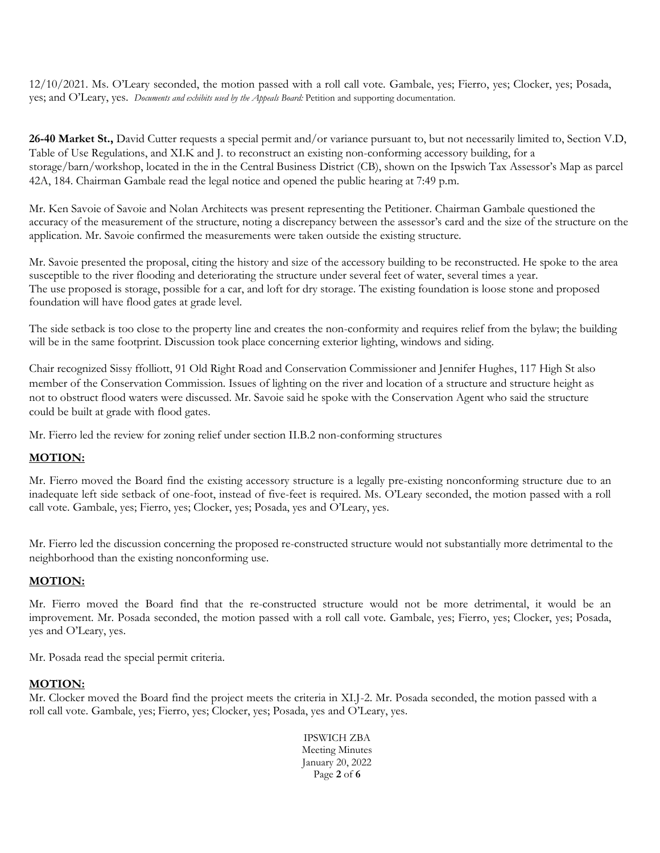12/10/2021. Ms. O'Leary seconded, the motion passed with a roll call vote. Gambale, yes; Fierro, yes; Clocker, yes; Posada, yes; and O'Leary, yes. *Documents and exhibits used by the Appeals Board:* Petition and supporting documentation.

**26-40 Market St.,** David Cutter requests a special permit and/or variance pursuant to, but not necessarily limited to, Section V.D, Table of Use Regulations, and XI.K and J. to reconstruct an existing non-conforming accessory building, for a storage/barn/workshop, located in the in the Central Business District (CB), shown on the Ipswich Tax Assessor's Map as parcel 42A, 184. Chairman Gambale read the legal notice and opened the public hearing at 7:49 p.m.

Mr. Ken Savoie of Savoie and Nolan Architects was present representing the Petitioner. Chairman Gambale questioned the accuracy of the measurement of the structure, noting a discrepancy between the assessor's card and the size of the structure on the application. Mr. Savoie confirmed the measurements were taken outside the existing structure.

Mr. Savoie presented the proposal, citing the history and size of the accessory building to be reconstructed. He spoke to the area susceptible to the river flooding and deteriorating the structure under several feet of water, several times a year. The use proposed is storage, possible for a car, and loft for dry storage. The existing foundation is loose stone and proposed foundation will have flood gates at grade level.

The side setback is too close to the property line and creates the non-conformity and requires relief from the bylaw; the building will be in the same footprint. Discussion took place concerning exterior lighting, windows and siding.

Chair recognized Sissy ffolliott, 91 Old Right Road and Conservation Commissioner and Jennifer Hughes, 117 High St also member of the Conservation Commission. Issues of lighting on the river and location of a structure and structure height as not to obstruct flood waters were discussed. Mr. Savoie said he spoke with the Conservation Agent who said the structure could be built at grade with flood gates.

Mr. Fierro led the review for zoning relief under section II.B.2 non-conforming structures

## **MOTION:**

Mr. Fierro moved the Board find the existing accessory structure is a legally pre-existing nonconforming structure due to an inadequate left side setback of one-foot, instead of five-feet is required. Ms. O'Leary seconded, the motion passed with a roll call vote. Gambale, yes; Fierro, yes; Clocker, yes; Posada, yes and O'Leary, yes.

Mr. Fierro led the discussion concerning the proposed re-constructed structure would not substantially more detrimental to the neighborhood than the existing nonconforming use.

## **MOTION:**

Mr. Fierro moved the Board find that the re-constructed structure would not be more detrimental, it would be an improvement. Mr. Posada seconded, the motion passed with a roll call vote. Gambale, yes; Fierro, yes; Clocker, yes; Posada, yes and O'Leary, yes.

Mr. Posada read the special permit criteria.

### **MOTION:**

Mr. Clocker moved the Board find the project meets the criteria in XI.J-2. Mr. Posada seconded, the motion passed with a roll call vote. Gambale, yes; Fierro, yes; Clocker, yes; Posada, yes and O'Leary, yes.

> IPSWICH ZBA Meeting Minutes January 20, 2022 Page **2** of **6**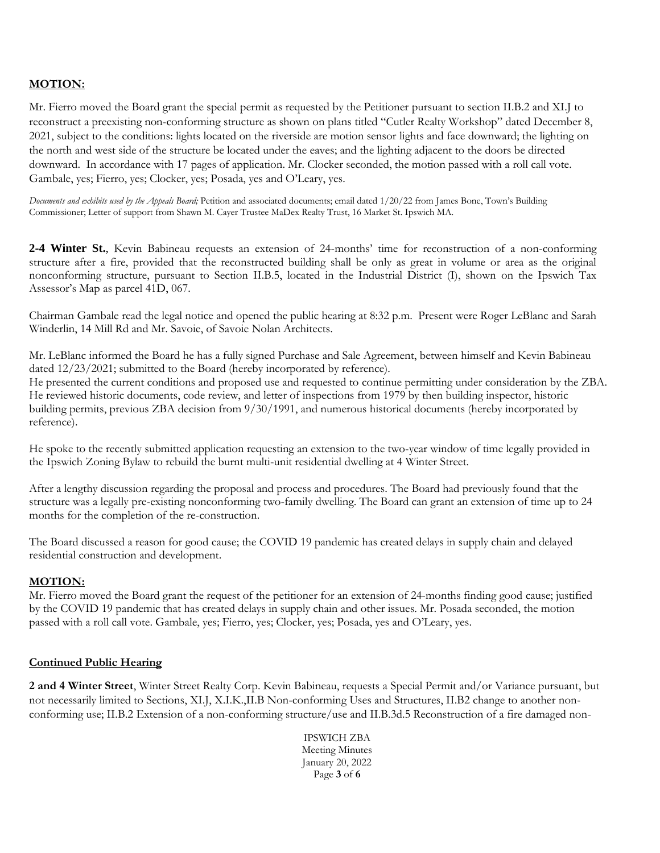## **MOTION:**

Mr. Fierro moved the Board grant the special permit as requested by the Petitioner pursuant to section II.B.2 and XI.J to reconstruct a preexisting non-conforming structure as shown on plans titled "Cutler Realty Workshop" dated December 8, 2021, subject to the conditions: lights located on the riverside are motion sensor lights and face downward; the lighting on the north and west side of the structure be located under the eaves; and the lighting adjacent to the doors be directed downward. In accordance with 17 pages of application. Mr. Clocker seconded, the motion passed with a roll call vote. Gambale, yes; Fierro, yes; Clocker, yes; Posada, yes and O'Leary, yes.

*Documents and exhibits used by the Appeals Board;* Petition and associated documents; email dated 1/20/22 from James Bone, Town's Building Commissioner; Letter of support from Shawn M. Cayer Trustee MaDex Realty Trust, 16 Market St. Ipswich MA.

**2-4 Winter St.**, Kevin Babineau requests an extension of 24-months' time for reconstruction of a non-conforming structure after a fire, provided that the reconstructed building shall be only as great in volume or area as the original nonconforming structure, pursuant to Section II.B.5, located in the Industrial District (I), shown on the Ipswich Tax Assessor's Map as parcel 41D, 067.

Chairman Gambale read the legal notice and opened the public hearing at 8:32 p.m. Present were Roger LeBlanc and Sarah Winderlin, 14 Mill Rd and Mr. Savoie, of Savoie Nolan Architects.

Mr. LeBlanc informed the Board he has a fully signed Purchase and Sale Agreement, between himself and Kevin Babineau dated 12/23/2021; submitted to the Board (hereby incorporated by reference).

He presented the current conditions and proposed use and requested to continue permitting under consideration by the ZBA. He reviewed historic documents, code review, and letter of inspections from 1979 by then building inspector, historic building permits, previous ZBA decision from 9/30/1991, and numerous historical documents (hereby incorporated by reference).

He spoke to the recently submitted application requesting an extension to the two-year window of time legally provided in the Ipswich Zoning Bylaw to rebuild the burnt multi-unit residential dwelling at 4 Winter Street.

After a lengthy discussion regarding the proposal and process and procedures. The Board had previously found that the structure was a legally pre-existing nonconforming two-family dwelling. The Board can grant an extension of time up to 24 months for the completion of the re-construction.

The Board discussed a reason for good cause; the COVID 19 pandemic has created delays in supply chain and delayed residential construction and development.

### **MOTION:**

Mr. Fierro moved the Board grant the request of the petitioner for an extension of 24-months finding good cause; justified by the COVID 19 pandemic that has created delays in supply chain and other issues. Mr. Posada seconded, the motion passed with a roll call vote. Gambale, yes; Fierro, yes; Clocker, yes; Posada, yes and O'Leary, yes.

### **Continued Public Hearing**

**2 and 4 Winter Street**, Winter Street Realty Corp. Kevin Babineau, requests a Special Permit and/or Variance pursuant, but not necessarily limited to Sections, XI.J, X.I.K.,II.B Non-conforming Uses and Structures, II.B2 change to another nonconforming use; II.B.2 Extension of a non-conforming structure/use and II.B.3d.5 Reconstruction of a fire damaged non-

> IPSWICH ZBA Meeting Minutes January 20, 2022 Page **3** of **6**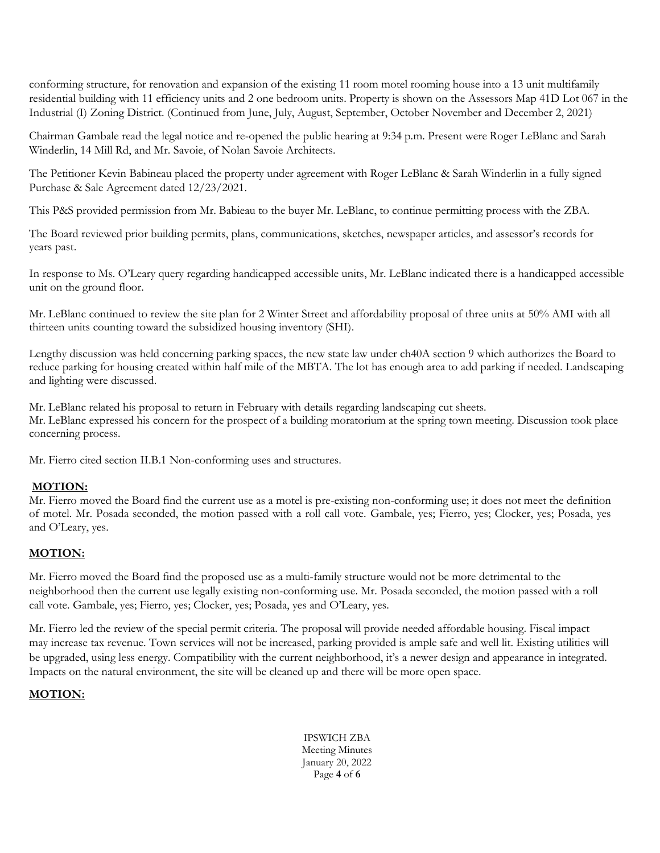conforming structure, for renovation and expansion of the existing 11 room motel rooming house into a 13 unit multifamily residential building with 11 efficiency units and 2 one bedroom units. Property is shown on the Assessors Map 41D Lot 067 in the Industrial (I) Zoning District. (Continued from June, July, August, September, October November and December 2, 2021)

Chairman Gambale read the legal notice and re-opened the public hearing at 9:34 p.m. Present were Roger LeBlanc and Sarah Winderlin, 14 Mill Rd, and Mr. Savoie, of Nolan Savoie Architects.

The Petitioner Kevin Babineau placed the property under agreement with Roger LeBlanc & Sarah Winderlin in a fully signed Purchase & Sale Agreement dated 12/23/2021.

This P&S provided permission from Mr. Babieau to the buyer Mr. LeBlanc, to continue permitting process with the ZBA.

The Board reviewed prior building permits, plans, communications, sketches, newspaper articles, and assessor's records for years past.

In response to Ms. O'Leary query regarding handicapped accessible units, Mr. LeBlanc indicated there is a handicapped accessible unit on the ground floor.

Mr. LeBlanc continued to review the site plan for 2 Winter Street and affordability proposal of three units at 50% AMI with all thirteen units counting toward the subsidized housing inventory (SHI).

Lengthy discussion was held concerning parking spaces, the new state law under ch40A section 9 which authorizes the Board to reduce parking for housing created within half mile of the MBTA. The lot has enough area to add parking if needed. Landscaping and lighting were discussed.

Mr. LeBlanc related his proposal to return in February with details regarding landscaping cut sheets. Mr. LeBlanc expressed his concern for the prospect of a building moratorium at the spring town meeting. Discussion took place concerning process.

Mr. Fierro cited section II.B.1 Non-conforming uses and structures.

## **MOTION:**

Mr. Fierro moved the Board find the current use as a motel is pre-existing non-conforming use; it does not meet the definition of motel. Mr. Posada seconded, the motion passed with a roll call vote. Gambale, yes; Fierro, yes; Clocker, yes; Posada, yes and O'Leary, yes.

## **MOTION:**

Mr. Fierro moved the Board find the proposed use as a multi-family structure would not be more detrimental to the neighborhood then the current use legally existing non-conforming use. Mr. Posada seconded, the motion passed with a roll call vote. Gambale, yes; Fierro, yes; Clocker, yes; Posada, yes and O'Leary, yes.

Mr. Fierro led the review of the special permit criteria. The proposal will provide needed affordable housing. Fiscal impact may increase tax revenue. Town services will not be increased, parking provided is ample safe and well lit. Existing utilities will be upgraded, using less energy. Compatibility with the current neighborhood, it's a newer design and appearance in integrated. Impacts on the natural environment, the site will be cleaned up and there will be more open space.

### **MOTION:**

IPSWICH ZBA Meeting Minutes January 20, 2022 Page **4** of **6**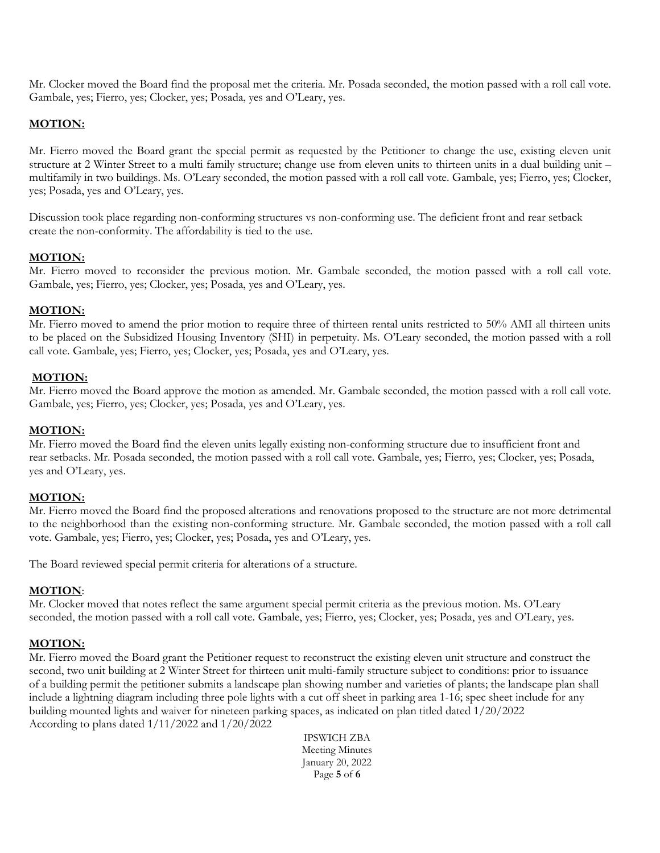Mr. Clocker moved the Board find the proposal met the criteria. Mr. Posada seconded, the motion passed with a roll call vote. Gambale, yes; Fierro, yes; Clocker, yes; Posada, yes and O'Leary, yes.

## **MOTION:**

Mr. Fierro moved the Board grant the special permit as requested by the Petitioner to change the use, existing eleven unit structure at 2 Winter Street to a multi family structure; change use from eleven units to thirteen units in a dual building unit – multifamily in two buildings. Ms. O'Leary seconded, the motion passed with a roll call vote. Gambale, yes; Fierro, yes; Clocker, yes; Posada, yes and O'Leary, yes.

Discussion took place regarding non-conforming structures vs non-conforming use. The deficient front and rear setback create the non-conformity. The affordability is tied to the use.

### **MOTION:**

Mr. Fierro moved to reconsider the previous motion. Mr. Gambale seconded, the motion passed with a roll call vote. Gambale, yes; Fierro, yes; Clocker, yes; Posada, yes and O'Leary, yes.

#### **MOTION:**

Mr. Fierro moved to amend the prior motion to require three of thirteen rental units restricted to 50% AMI all thirteen units to be placed on the Subsidized Housing Inventory (SHI) in perpetuity. Ms. O'Leary seconded, the motion passed with a roll call vote. Gambale, yes; Fierro, yes; Clocker, yes; Posada, yes and O'Leary, yes.

#### **MOTION:**

Mr. Fierro moved the Board approve the motion as amended. Mr. Gambale seconded, the motion passed with a roll call vote. Gambale, yes; Fierro, yes; Clocker, yes; Posada, yes and O'Leary, yes.

#### **MOTION:**

Mr. Fierro moved the Board find the eleven units legally existing non-conforming structure due to insufficient front and rear setbacks. Mr. Posada seconded, the motion passed with a roll call vote. Gambale, yes; Fierro, yes; Clocker, yes; Posada, yes and O'Leary, yes.

#### **MOTION:**

Mr. Fierro moved the Board find the proposed alterations and renovations proposed to the structure are not more detrimental to the neighborhood than the existing non-conforming structure. Mr. Gambale seconded, the motion passed with a roll call vote. Gambale, yes; Fierro, yes; Clocker, yes; Posada, yes and O'Leary, yes.

The Board reviewed special permit criteria for alterations of a structure.

#### **MOTION**:

Mr. Clocker moved that notes reflect the same argument special permit criteria as the previous motion. Ms. O'Leary seconded, the motion passed with a roll call vote. Gambale, yes; Fierro, yes; Clocker, yes; Posada, yes and O'Leary, yes.

#### **MOTION:**

Mr. Fierro moved the Board grant the Petitioner request to reconstruct the existing eleven unit structure and construct the second, two unit building at 2 Winter Street for thirteen unit multi-family structure subject to conditions: prior to issuance of a building permit the petitioner submits a landscape plan showing number and varieties of plants; the landscape plan shall include a lightning diagram including three pole lights with a cut off sheet in parking area 1-16; spec sheet include for any building mounted lights and waiver for nineteen parking spaces, as indicated on plan titled dated 1/20/2022 According to plans dated 1/11/2022 and 1/20/2022

> IPSWICH ZBA Meeting Minutes January 20, 2022 Page **5** of **6**